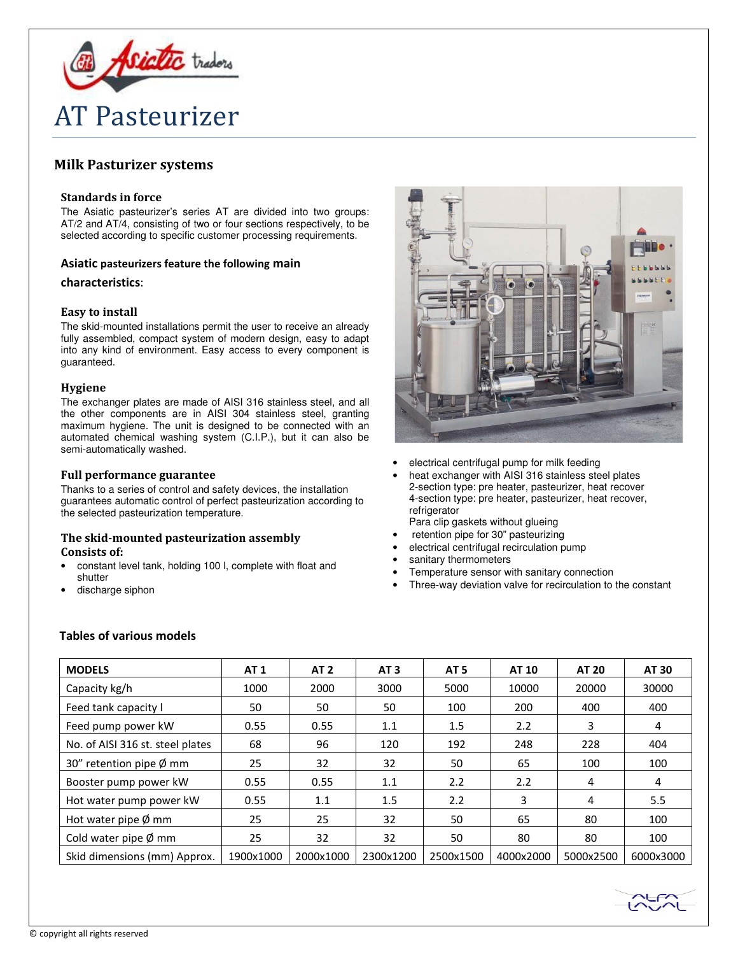

# Milk Pasturizer systems

## Standards in force

The Asiatic pasteurizer's series AT are divided into two groups: AT/2 and AT/4, consisting of two or four sections respectively, to be selected according to specific customer processing requirements.

# Asiatic pasteurizers feature the following main

#### characteristics:

# Easy to install

The skid-mounted installations permit the user to receive an already fully assembled, compact system of modern design, easy to adapt into any kind of environment. Easy access to every component is guaranteed.

### Hygiene

The exchanger plates are made of AISI 316 stainless steel, and all the other components are in AISI 304 stainless steel, granting maximum hygiene. The unit is designed to be connected with an automated chemical washing system (C.I.P.), but it can also be semi-automatically washed.

### Full performance guarantee

Thanks to a series of control and safety devices, the installation guarantees automatic control of perfect pasteurization according to the selected pasteurization temperature.

# The skid-mounted pasteurization assembly Consists of:

- constant level tank, holding 100 l, complete with float and shutter
- discharge siphon



- electrical centrifugal pump for milk feeding
- heat exchanger with AISI 316 stainless steel plates 2-section type: pre heater, pasteurizer, heat recover 4-section type: pre heater, pasteurizer, heat recover, refrigerator
- Para clip gaskets without glueing retention pipe for 30" pasteurizing
- electrical centrifugal recirculation pump
- 
- sanitary thermometers
- Temperature sensor with sanitary connection
- Three-way deviation valve for recirculation to the constant

# Tables of various models

| <b>MODELS</b>                    | <b>AT 1</b> | <b>AT 2</b> | AT <sub>3</sub> | AT <sub>5</sub> | <b>AT 10</b> | <b>AT 20</b> | AT 30     |
|----------------------------------|-------------|-------------|-----------------|-----------------|--------------|--------------|-----------|
| Capacity kg/h                    | 1000        | 2000        | 3000            | 5000            | 10000        | 20000        | 30000     |
| Feed tank capacity I             | 50          | 50          | 50              | 100             | 200          | 400          | 400       |
| Feed pump power kW               | 0.55        | 0.55        | 1.1             | 1.5             | 2.2          | 3            | 4         |
| No. of AISI 316 st. steel plates | 68          | 96          | 120             | 192             | 248          | 228          | 404       |
| 30" retention pipe $\phi$ mm     | 25          | 32          | 32              | 50              | 65           | 100          | 100       |
| Booster pump power kW            | 0.55        | 0.55        | 1.1             | 2.2             | 2.2          | 4            | 4         |
| Hot water pump power kW          | 0.55        | 1.1         | 1.5             | 2.2             | 3            | 4            | 5.5       |
| Hot water pipe $\emptyset$ mm    | 25          | 25          | 32              | 50              | 65           | 80           | 100       |
| Cold water pipe $\varnothing$ mm | 25          | 32          | 32              | 50              | 80           | 80           | 100       |
| Skid dimensions (mm) Approx.     | 1900x1000   | 2000x1000   | 2300x1200       | 2500x1500       | 4000x2000    | 5000x2500    | 6000x3000 |

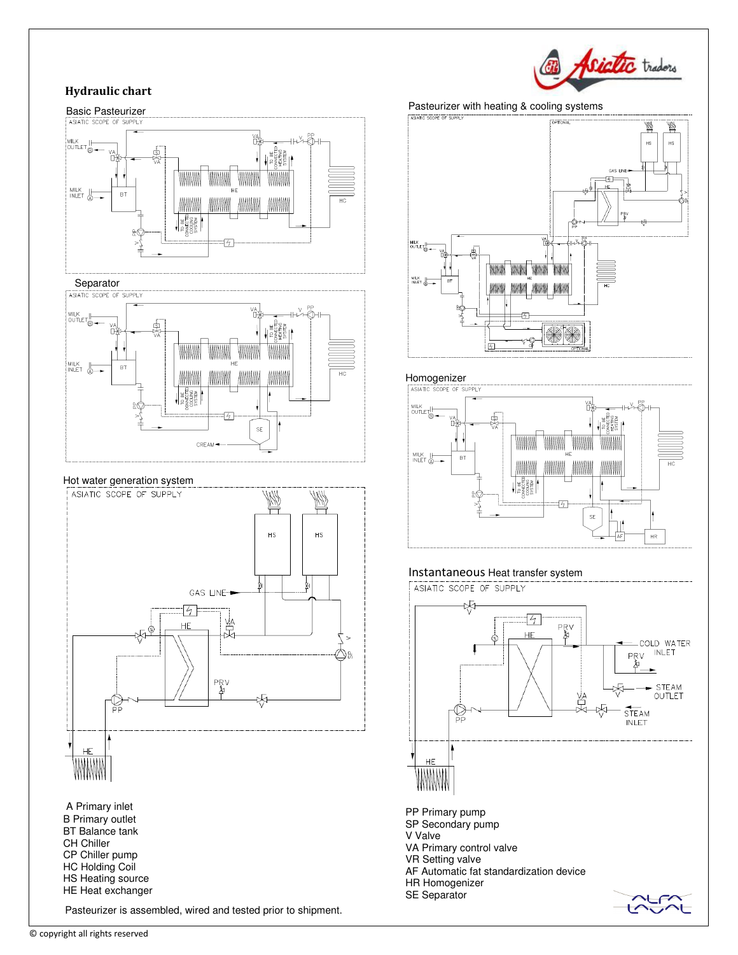# Asiatic traders

# Hydraulic chart





## Hot water generation system



# Pasteurizer with heating & cooling systems



# **Homogenizer**<br>ASIATIC SCOPE OF SUPPLY



# Instantaneous Heat transfer system

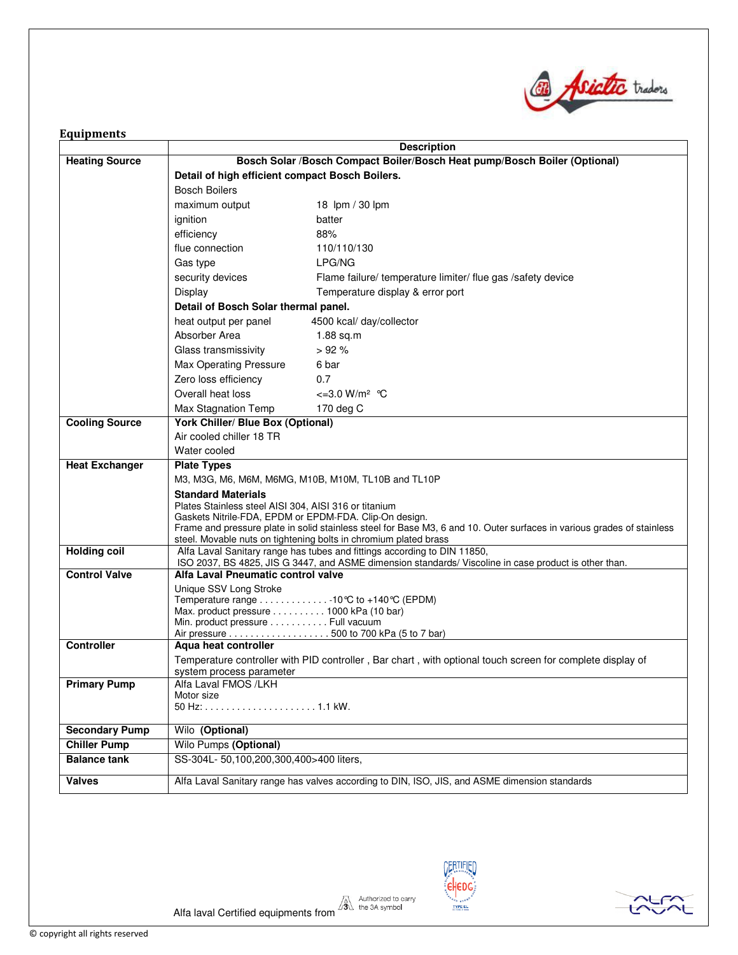

# Equipments

|                       | <b>Description</b>                                                                                                                                                                |  |  |  |  |
|-----------------------|-----------------------------------------------------------------------------------------------------------------------------------------------------------------------------------|--|--|--|--|
| <b>Heating Source</b> | Bosch Solar /Bosch Compact Boiler/Bosch Heat pump/Bosch Boiler (Optional)                                                                                                         |  |  |  |  |
|                       | Detail of high efficient compact Bosch Boilers.                                                                                                                                   |  |  |  |  |
|                       | <b>Bosch Boilers</b>                                                                                                                                                              |  |  |  |  |
|                       | maximum output<br>18 lpm / 30 lpm                                                                                                                                                 |  |  |  |  |
|                       | ignition<br>batter                                                                                                                                                                |  |  |  |  |
|                       | efficiency<br>88%                                                                                                                                                                 |  |  |  |  |
|                       | flue connection<br>110/110/130                                                                                                                                                    |  |  |  |  |
|                       | LPG/NG<br>Gas type                                                                                                                                                                |  |  |  |  |
|                       | security devices<br>Flame failure/ temperature limiter/ flue gas /safety device                                                                                                   |  |  |  |  |
|                       | Temperature display & error port<br>Display                                                                                                                                       |  |  |  |  |
|                       | Detail of Bosch Solar thermal panel.                                                                                                                                              |  |  |  |  |
|                       | 4500 kcal/ day/collector<br>heat output per panel                                                                                                                                 |  |  |  |  |
|                       | Absorber Area<br>$1.88$ sq.m                                                                                                                                                      |  |  |  |  |
|                       | >92%<br>Glass transmissivity                                                                                                                                                      |  |  |  |  |
|                       | 6 bar<br>Max Operating Pressure                                                                                                                                                   |  |  |  |  |
|                       | Zero loss efficiency<br>0.7                                                                                                                                                       |  |  |  |  |
|                       | Overall heat loss<br>$\epsilon = 3.0$ W/m <sup>2</sup> °C                                                                                                                         |  |  |  |  |
|                       | Max Stagnation Temp<br>170 deg C                                                                                                                                                  |  |  |  |  |
| <b>Cooling Source</b> | <b>York Chiller/ Blue Box (Optional)</b>                                                                                                                                          |  |  |  |  |
|                       | Air cooled chiller 18 TR                                                                                                                                                          |  |  |  |  |
|                       | Water cooled                                                                                                                                                                      |  |  |  |  |
| <b>Heat Exchanger</b> | <b>Plate Types</b>                                                                                                                                                                |  |  |  |  |
|                       | M3, M3G, M6, M6M, M6MG, M10B, M10M, TL10B and TL10P                                                                                                                               |  |  |  |  |
|                       | <b>Standard Materials</b>                                                                                                                                                         |  |  |  |  |
|                       | Plates Stainless steel AISI 304, AISI 316 or titanium<br>Gaskets Nitrile-FDA, EPDM or EPDM-FDA. Clip-On design.                                                                   |  |  |  |  |
|                       | Frame and pressure plate in solid stainless steel for Base M3, 6 and 10. Outer surfaces in various grades of stainless                                                            |  |  |  |  |
|                       | steel. Movable nuts on tightening bolts in chromium plated brass                                                                                                                  |  |  |  |  |
| <b>Holding coil</b>   | Alfa Laval Sanitary range has tubes and fittings according to DIN 11850,<br>ISO 2037, BS 4825, JIS G 3447, and ASME dimension standards/ Viscoline in case product is other than. |  |  |  |  |
| <b>Control Valve</b>  | Alfa Laval Pneumatic control valve                                                                                                                                                |  |  |  |  |
|                       | Unique SSV Long Stroke                                                                                                                                                            |  |  |  |  |
|                       | Temperature range 10℃ to +140℃ (EPDM)                                                                                                                                             |  |  |  |  |
|                       | Max. product pressure 1000 kPa (10 bar)                                                                                                                                           |  |  |  |  |
|                       | Min. product pressure Full vacuum<br>Air pressure 500 to 700 kPa (5 to 7 bar)                                                                                                     |  |  |  |  |
| <b>Controller</b>     | Aqua heat controller                                                                                                                                                              |  |  |  |  |
|                       | Temperature controller with PID controller, Bar chart, with optional touch screen for complete display of                                                                         |  |  |  |  |
|                       | system process parameter                                                                                                                                                          |  |  |  |  |
| <b>Primary Pump</b>   | Alfa Laval FMOS /LKH                                                                                                                                                              |  |  |  |  |
|                       | Motor size                                                                                                                                                                        |  |  |  |  |
|                       |                                                                                                                                                                                   |  |  |  |  |
| <b>Secondary Pump</b> | Wilo (Optional)                                                                                                                                                                   |  |  |  |  |
| <b>Chiller Pump</b>   | Wilo Pumps (Optional)                                                                                                                                                             |  |  |  |  |
| <b>Balance tank</b>   | SS-304L- 50,100,200,300,400>400 liters,                                                                                                                                           |  |  |  |  |
| <b>Valves</b>         | Alfa Laval Sanitary range has valves according to DIN, ISO, JIS, and ASME dimension standards                                                                                     |  |  |  |  |